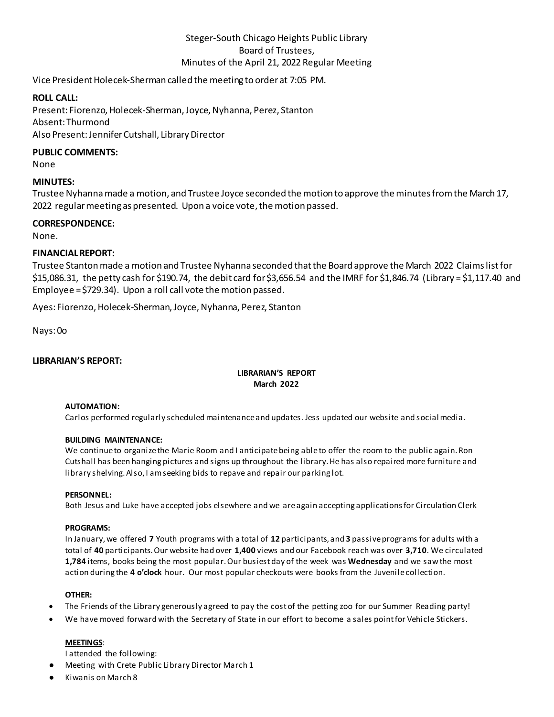# Steger-South Chicago Heights Public Library Board of Trustees, Minutes of the April 21, 2022 Regular Meeting

Vice President Holecek-Sherman called the meeting to order at 7:05 PM.

# **ROLL CALL:**

Present: Fiorenzo, Holecek-Sherman, Joyce, Nyhanna, Perez, Stanton Absent: Thurmond Also Present: Jennifer Cutshall, Library Director

## **PUBLIC COMMENTS:**

None

# **MINUTES:**

Trustee Nyhannamade a motion, and Trustee Joyce seconded the motion to approve the minutes from the March 17, 2022 regular meeting as presented. Upon a voice vote, the motion passed.

# **CORRESPONDENCE:**

None.

# **FINANCIAL REPORT:**

Trustee Stantonmade a motion and Trustee Nyhanna seconded that the Board approve the March 2022 Claims list for \$15,086.31, the petty cash for \$190.74, the debit card for \$3,656.54 and the IMRF for \$1,846.74 (Library = \$1,117.40 and Employee = \$729.34). Upon a roll call vote the motion passed.

Ayes: Fiorenzo, Holecek-Sherman, Joyce, Nyhanna, Perez, Stanton

Nays: 0o

# **LIBRARIAN'S REPORT:**

# **LIBRARIAN'S REPORT March 2022**

#### **AUTOMATION:**

Carlos performed regularly scheduled maintenance and updates. Jess updated our website and social media.

## **BUILDING MAINTENANCE:**

We continue to organize the Marie Room and I anticipate being able to offer the room to the public again. Ron Cutshall has been hanging pictures and signs up throughout the library. He has also repaired more furniture and library shelving. Also, I am seeking bids to repave and repair our parking lot.

#### **PERSONNEL:**

Both Jesus and Luke have accepted jobs elsewhere and we are again accepting applications for Circulation Clerk

## **PROGRAMS:**

In January, we offered **7** Youth programs with a total of **12** participants, and **3** passive programs for adults with a total of **40** participants. Our website had over **1,400** views and our Facebook reach was over **3,710**. We circulated **1,784** items, books being the most popular. Our busiest day of the week was **Wednesday** and we saw the most action during the **4 o'clock** hour. Our most popular checkouts were books from the Juvenile collection.

#### **OTHER:**

- The Friends of the Library generously agreed to pay the cost of the petting zoo for our Summer Reading party!
- We have moved forward with the Secretary of State in our effort to become a sales point for Vehicle Stickers.

## **MEETINGS**:

I attended the following:

- Meeting with Crete Public Library Director March 1
- Kiwanis on March 8